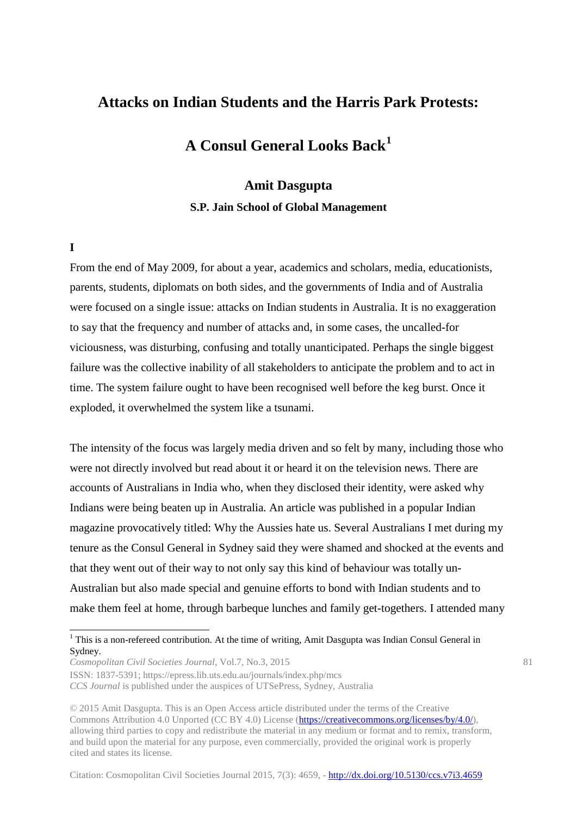### **Attacks on Indian Students and the Harris Park Protests:**

# **A Consul General Looks Back[1](#page-0-0)**

# **Amit Dasgupta S.P. Jain School of Global Management**

#### **I**

-

From the end of May 2009, for about a year, academics and scholars, media, educationists, parents, students, diplomats on both sides, and the governments of India and of Australia were focused on a single issue: attacks on Indian students in Australia. It is no exaggeration to say that the frequency and number of attacks and, in some cases, the uncalled-for viciousness, was disturbing, confusing and totally unanticipated. Perhaps the single biggest failure was the collective inability of all stakeholders to anticipate the problem and to act in time. The system failure ought to have been recognised well before the keg burst. Once it exploded, it overwhelmed the system like a tsunami.

The intensity of the focus was largely media driven and so felt by many, including those who were not directly involved but read about it or heard it on the television news. There are accounts of Australians in India who, when they disclosed their identity, were asked why Indians were being beaten up in Australia. An article was published in a popular Indian magazine provocatively titled: Why the Aussies hate us. Several Australians I met during my tenure as the Consul General in Sydney said they were shamed and shocked at the events and that they went out of their way to not only say this kind of behaviour was totally un-Australian but also made special and genuine efforts to bond with Indian students and to make them feel at home, through barbeque lunches and family get-togethers. I attended many

*Cosmopolitan Civil Societies Journal*, Vol.7, No.3, 2015 81

Citation: Cosmopolitan Civil Societies Journal 2015, 7(3): 4659, - <http://dx.doi.org/10.5130/ccs.v7i3.4659>

<span id="page-0-0"></span><sup>&</sup>lt;sup>1</sup> This is a non-refereed contribution. At the time of writing, Amit Dasgupta was Indian Consul General in Sydney.

ISSN: 1837-5391; https://epress.lib.uts.edu.au/journals/index.php/mcs

*CCS Journal* is published under the auspices of UTSePress, Sydney, Australia

<sup>© 2015</sup> Amit Dasgupta. This is an Open Access article distributed under the terms of the Creative Commons Attribution 4.0 Unported (CC BY 4.0) License [\(https://creativecommons.org/licenses/by/4.0/\)](https://creativecommons.org/licenses/by/4.0/), allowing third parties to copy and redistribute the material in any medium or format and to remix, transform, and build upon the material for any purpose, even commercially, provided the original work is properly cited and states its license.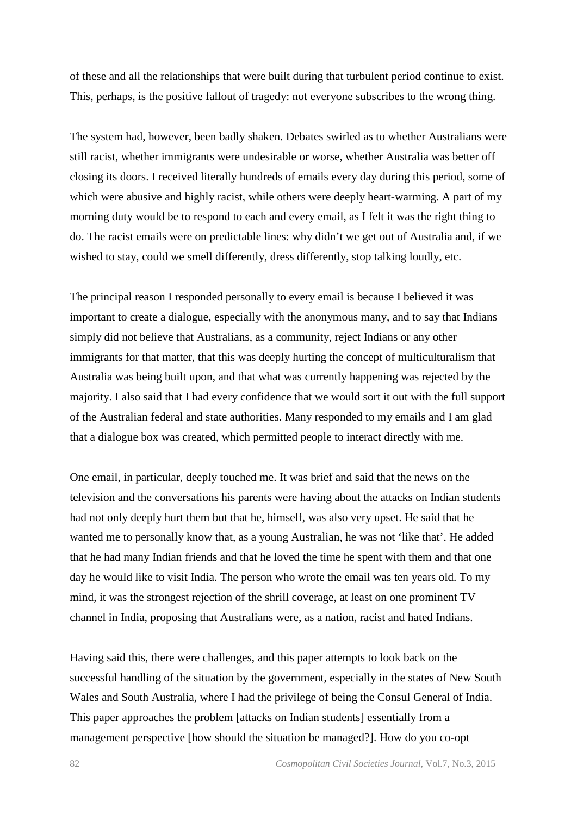of these and all the relationships that were built during that turbulent period continue to exist. This, perhaps, is the positive fallout of tragedy: not everyone subscribes to the wrong thing.

The system had, however, been badly shaken. Debates swirled as to whether Australians were still racist, whether immigrants were undesirable or worse, whether Australia was better off closing its doors. I received literally hundreds of emails every day during this period, some of which were abusive and highly racist, while others were deeply heart-warming. A part of my morning duty would be to respond to each and every email, as I felt it was the right thing to do. The racist emails were on predictable lines: why didn't we get out of Australia and, if we wished to stay, could we smell differently, dress differently, stop talking loudly, etc.

The principal reason I responded personally to every email is because I believed it was important to create a dialogue, especially with the anonymous many, and to say that Indians simply did not believe that Australians, as a community, reject Indians or any other immigrants for that matter, that this was deeply hurting the concept of multiculturalism that Australia was being built upon, and that what was currently happening was rejected by the majority. I also said that I had every confidence that we would sort it out with the full support of the Australian federal and state authorities. Many responded to my emails and I am glad that a dialogue box was created, which permitted people to interact directly with me.

One email, in particular, deeply touched me. It was brief and said that the news on the television and the conversations his parents were having about the attacks on Indian students had not only deeply hurt them but that he, himself, was also very upset. He said that he wanted me to personally know that, as a young Australian, he was not 'like that'. He added that he had many Indian friends and that he loved the time he spent with them and that one day he would like to visit India. The person who wrote the email was ten years old. To my mind, it was the strongest rejection of the shrill coverage, at least on one prominent TV channel in India, proposing that Australians were, as a nation, racist and hated Indians.

Having said this, there were challenges, and this paper attempts to look back on the successful handling of the situation by the government, especially in the states of New South Wales and South Australia, where I had the privilege of being the Consul General of India. This paper approaches the problem [attacks on Indian students] essentially from a management perspective [how should the situation be managed?]. How do you co-opt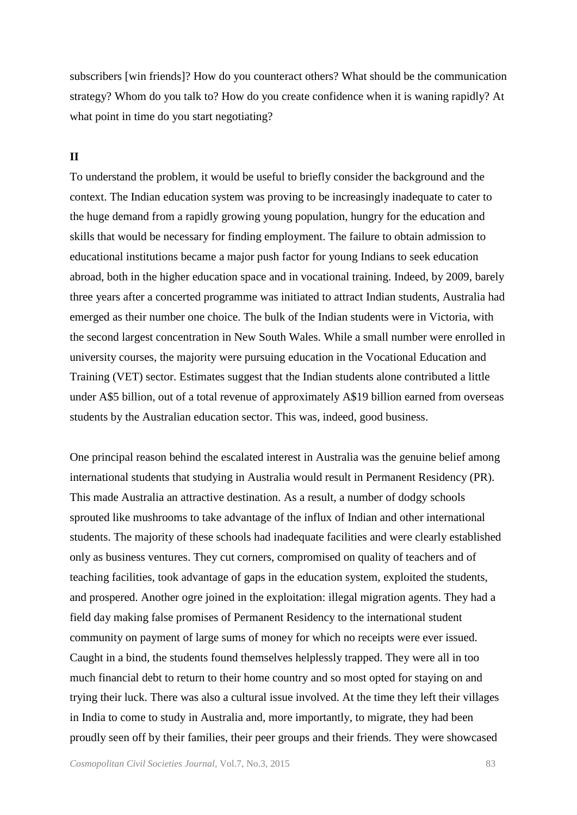subscribers [win friends]? How do you counteract others? What should be the communication strategy? Whom do you talk to? How do you create confidence when it is waning rapidly? At what point in time do you start negotiating?

#### **II**

To understand the problem, it would be useful to briefly consider the background and the context. The Indian education system was proving to be increasingly inadequate to cater to the huge demand from a rapidly growing young population, hungry for the education and skills that would be necessary for finding employment. The failure to obtain admission to educational institutions became a major push factor for young Indians to seek education abroad, both in the higher education space and in vocational training. Indeed, by 2009, barely three years after a concerted programme was initiated to attract Indian students, Australia had emerged as their number one choice. The bulk of the Indian students were in Victoria, with the second largest concentration in New South Wales. While a small number were enrolled in university courses, the majority were pursuing education in the Vocational Education and Training (VET) sector. Estimates suggest that the Indian students alone contributed a little under A\$5 billion, out of a total revenue of approximately A\$19 billion earned from overseas students by the Australian education sector. This was, indeed, good business.

One principal reason behind the escalated interest in Australia was the genuine belief among international students that studying in Australia would result in Permanent Residency (PR). This made Australia an attractive destination. As a result, a number of dodgy schools sprouted like mushrooms to take advantage of the influx of Indian and other international students. The majority of these schools had inadequate facilities and were clearly established only as business ventures. They cut corners, compromised on quality of teachers and of teaching facilities, took advantage of gaps in the education system, exploited the students, and prospered. Another ogre joined in the exploitation: illegal migration agents. They had a field day making false promises of Permanent Residency to the international student community on payment of large sums of money for which no receipts were ever issued. Caught in a bind, the students found themselves helplessly trapped. They were all in too much financial debt to return to their home country and so most opted for staying on and trying their luck. There was also a cultural issue involved. At the time they left their villages in India to come to study in Australia and, more importantly, to migrate, they had been proudly seen off by their families, their peer groups and their friends. They were showcased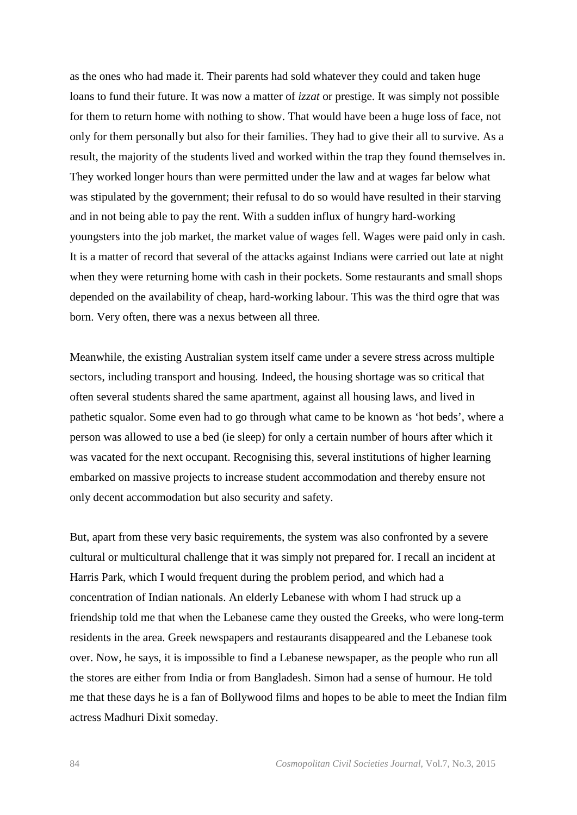as the ones who had made it. Their parents had sold whatever they could and taken huge loans to fund their future. It was now a matter of *izzat* or prestige. It was simply not possible for them to return home with nothing to show. That would have been a huge loss of face, not only for them personally but also for their families. They had to give their all to survive. As a result, the majority of the students lived and worked within the trap they found themselves in. They worked longer hours than were permitted under the law and at wages far below what was stipulated by the government; their refusal to do so would have resulted in their starving and in not being able to pay the rent. With a sudden influx of hungry hard-working youngsters into the job market, the market value of wages fell. Wages were paid only in cash. It is a matter of record that several of the attacks against Indians were carried out late at night when they were returning home with cash in their pockets. Some restaurants and small shops depended on the availability of cheap, hard-working labour. This was the third ogre that was born. Very often, there was a nexus between all three.

Meanwhile, the existing Australian system itself came under a severe stress across multiple sectors, including transport and housing. Indeed, the housing shortage was so critical that often several students shared the same apartment, against all housing laws, and lived in pathetic squalor. Some even had to go through what came to be known as 'hot beds', where a person was allowed to use a bed (ie sleep) for only a certain number of hours after which it was vacated for the next occupant. Recognising this, several institutions of higher learning embarked on massive projects to increase student accommodation and thereby ensure not only decent accommodation but also security and safety.

But, apart from these very basic requirements, the system was also confronted by a severe cultural or multicultural challenge that it was simply not prepared for. I recall an incident at Harris Park, which I would frequent during the problem period, and which had a concentration of Indian nationals. An elderly Lebanese with whom I had struck up a friendship told me that when the Lebanese came they ousted the Greeks, who were long-term residents in the area. Greek newspapers and restaurants disappeared and the Lebanese took over. Now, he says, it is impossible to find a Lebanese newspaper, as the people who run all the stores are either from India or from Bangladesh. Simon had a sense of humour. He told me that these days he is a fan of Bollywood films and hopes to be able to meet the Indian film actress Madhuri Dixit someday.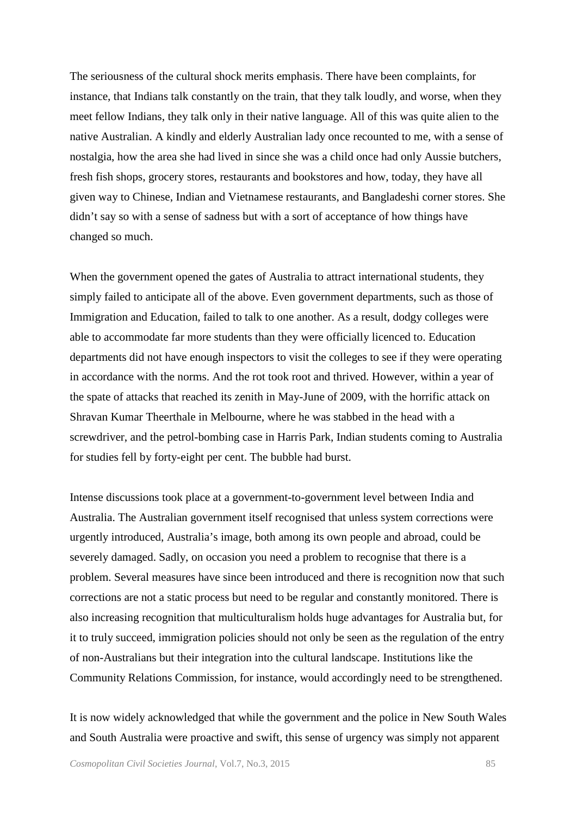The seriousness of the cultural shock merits emphasis. There have been complaints, for instance, that Indians talk constantly on the train, that they talk loudly, and worse, when they meet fellow Indians, they talk only in their native language. All of this was quite alien to the native Australian. A kindly and elderly Australian lady once recounted to me, with a sense of nostalgia, how the area she had lived in since she was a child once had only Aussie butchers, fresh fish shops, grocery stores, restaurants and bookstores and how, today, they have all given way to Chinese, Indian and Vietnamese restaurants, and Bangladeshi corner stores. She didn't say so with a sense of sadness but with a sort of acceptance of how things have changed so much.

When the government opened the gates of Australia to attract international students, they simply failed to anticipate all of the above. Even government departments, such as those of Immigration and Education, failed to talk to one another. As a result, dodgy colleges were able to accommodate far more students than they were officially licenced to. Education departments did not have enough inspectors to visit the colleges to see if they were operating in accordance with the norms. And the rot took root and thrived. However, within a year of the spate of attacks that reached its zenith in May-June of 2009, with the horrific attack on Shravan Kumar Theerthale in Melbourne, where he was stabbed in the head with a screwdriver, and the petrol-bombing case in Harris Park, Indian students coming to Australia for studies fell by forty-eight per cent. The bubble had burst.

Intense discussions took place at a government-to-government level between India and Australia. The Australian government itself recognised that unless system corrections were urgently introduced, Australia's image, both among its own people and abroad, could be severely damaged. Sadly, on occasion you need a problem to recognise that there is a problem. Several measures have since been introduced and there is recognition now that such corrections are not a static process but need to be regular and constantly monitored. There is also increasing recognition that multiculturalism holds huge advantages for Australia but, for it to truly succeed, immigration policies should not only be seen as the regulation of the entry of non-Australians but their integration into the cultural landscape. Institutions like the Community Relations Commission, for instance, would accordingly need to be strengthened.

It is now widely acknowledged that while the government and the police in New South Wales and South Australia were proactive and swift, this sense of urgency was simply not apparent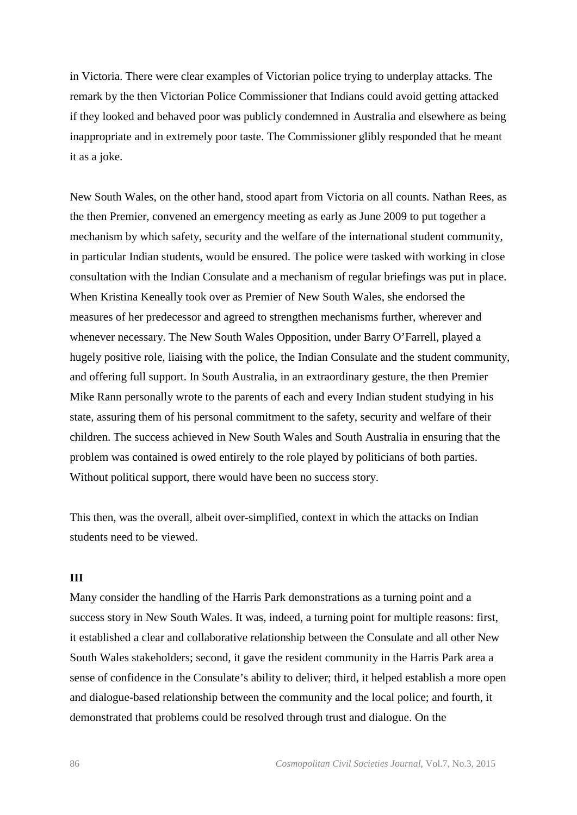in Victoria. There were clear examples of Victorian police trying to underplay attacks. The remark by the then Victorian Police Commissioner that Indians could avoid getting attacked if they looked and behaved poor was publicly condemned in Australia and elsewhere as being inappropriate and in extremely poor taste. The Commissioner glibly responded that he meant it as a joke.

New South Wales, on the other hand, stood apart from Victoria on all counts. Nathan Rees, as the then Premier, convened an emergency meeting as early as June 2009 to put together a mechanism by which safety, security and the welfare of the international student community, in particular Indian students, would be ensured. The police were tasked with working in close consultation with the Indian Consulate and a mechanism of regular briefings was put in place. When Kristina Keneally took over as Premier of New South Wales, she endorsed the measures of her predecessor and agreed to strengthen mechanisms further, wherever and whenever necessary. The New South Wales Opposition, under Barry O'Farrell, played a hugely positive role, liaising with the police, the Indian Consulate and the student community, and offering full support. In South Australia, in an extraordinary gesture, the then Premier Mike Rann personally wrote to the parents of each and every Indian student studying in his state, assuring them of his personal commitment to the safety, security and welfare of their children. The success achieved in New South Wales and South Australia in ensuring that the problem was contained is owed entirely to the role played by politicians of both parties. Without political support, there would have been no success story.

This then, was the overall, albeit over-simplified, context in which the attacks on Indian students need to be viewed.

#### **III**

Many consider the handling of the Harris Park demonstrations as a turning point and a success story in New South Wales. It was, indeed, a turning point for multiple reasons: first, it established a clear and collaborative relationship between the Consulate and all other New South Wales stakeholders; second, it gave the resident community in the Harris Park area a sense of confidence in the Consulate's ability to deliver; third, it helped establish a more open and dialogue-based relationship between the community and the local police; and fourth, it demonstrated that problems could be resolved through trust and dialogue. On the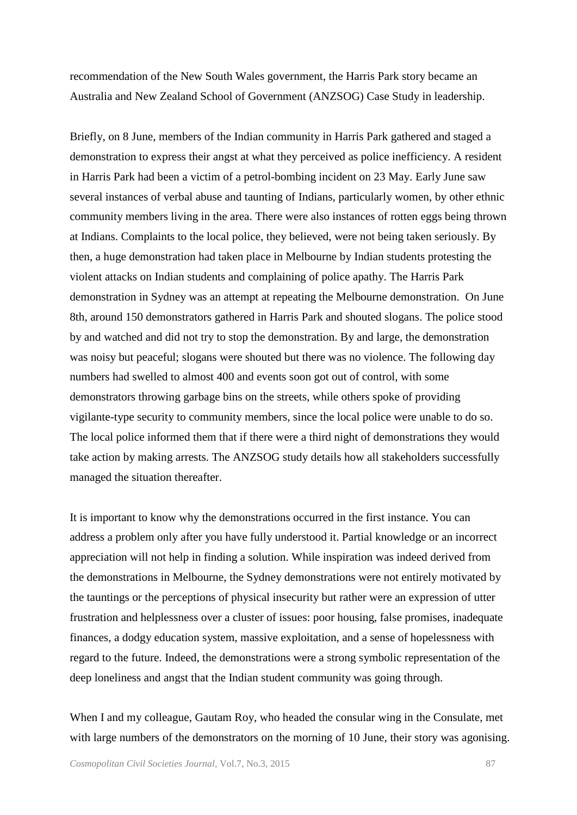recommendation of the New South Wales government, the Harris Park story became an Australia and New Zealand School of Government (ANZSOG) Case Study in leadership.

Briefly, on 8 June, members of the Indian community in Harris Park gathered and staged a demonstration to express their angst at what they perceived as police inefficiency. A resident in Harris Park had been a victim of a petrol-bombing incident on 23 May. Early June saw several instances of verbal abuse and taunting of Indians, particularly women, by other ethnic community members living in the area. There were also instances of rotten eggs being thrown at Indians. Complaints to the local police, they believed, were not being taken seriously. By then, a huge demonstration had taken place in Melbourne by Indian students protesting the violent attacks on Indian students and complaining of police apathy. The Harris Park demonstration in Sydney was an attempt at repeating the Melbourne demonstration. On June 8th, around 150 demonstrators gathered in Harris Park and shouted slogans. The police stood by and watched and did not try to stop the demonstration. By and large, the demonstration was noisy but peaceful; slogans were shouted but there was no violence. The following day numbers had swelled to almost 400 and events soon got out of control, with some demonstrators throwing garbage bins on the streets, while others spoke of providing vigilante-type security to community members, since the local police were unable to do so. The local police informed them that if there were a third night of demonstrations they would take action by making arrests. The ANZSOG study details how all stakeholders successfully managed the situation thereafter.

It is important to know why the demonstrations occurred in the first instance. You can address a problem only after you have fully understood it. Partial knowledge or an incorrect appreciation will not help in finding a solution. While inspiration was indeed derived from the demonstrations in Melbourne, the Sydney demonstrations were not entirely motivated by the tauntings or the perceptions of physical insecurity but rather were an expression of utter frustration and helplessness over a cluster of issues: poor housing, false promises, inadequate finances, a dodgy education system, massive exploitation, and a sense of hopelessness with regard to the future. Indeed, the demonstrations were a strong symbolic representation of the deep loneliness and angst that the Indian student community was going through.

When I and my colleague, Gautam Roy, who headed the consular wing in the Consulate, met with large numbers of the demonstrators on the morning of 10 June, their story was agonising.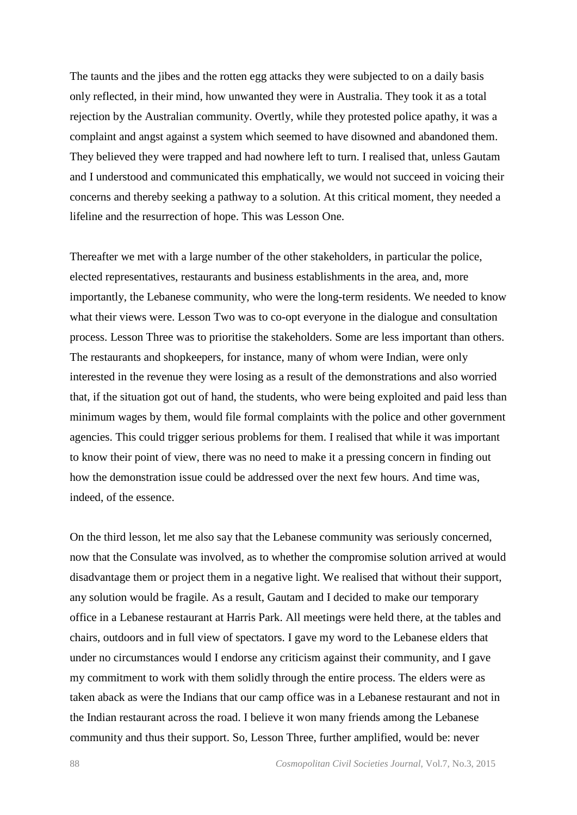The taunts and the jibes and the rotten egg attacks they were subjected to on a daily basis only reflected, in their mind, how unwanted they were in Australia. They took it as a total rejection by the Australian community. Overtly, while they protested police apathy, it was a complaint and angst against a system which seemed to have disowned and abandoned them. They believed they were trapped and had nowhere left to turn. I realised that, unless Gautam and I understood and communicated this emphatically, we would not succeed in voicing their concerns and thereby seeking a pathway to a solution. At this critical moment, they needed a lifeline and the resurrection of hope. This was Lesson One.

Thereafter we met with a large number of the other stakeholders, in particular the police, elected representatives, restaurants and business establishments in the area, and, more importantly, the Lebanese community, who were the long-term residents. We needed to know what their views were. Lesson Two was to co-opt everyone in the dialogue and consultation process. Lesson Three was to prioritise the stakeholders. Some are less important than others. The restaurants and shopkeepers, for instance, many of whom were Indian, were only interested in the revenue they were losing as a result of the demonstrations and also worried that, if the situation got out of hand, the students, who were being exploited and paid less than minimum wages by them, would file formal complaints with the police and other government agencies. This could trigger serious problems for them. I realised that while it was important to know their point of view, there was no need to make it a pressing concern in finding out how the demonstration issue could be addressed over the next few hours. And time was, indeed, of the essence.

On the third lesson, let me also say that the Lebanese community was seriously concerned, now that the Consulate was involved, as to whether the compromise solution arrived at would disadvantage them or project them in a negative light. We realised that without their support, any solution would be fragile. As a result, Gautam and I decided to make our temporary office in a Lebanese restaurant at Harris Park. All meetings were held there, at the tables and chairs, outdoors and in full view of spectators. I gave my word to the Lebanese elders that under no circumstances would I endorse any criticism against their community, and I gave my commitment to work with them solidly through the entire process. The elders were as taken aback as were the Indians that our camp office was in a Lebanese restaurant and not in the Indian restaurant across the road. I believe it won many friends among the Lebanese community and thus their support. So, Lesson Three, further amplified, would be: never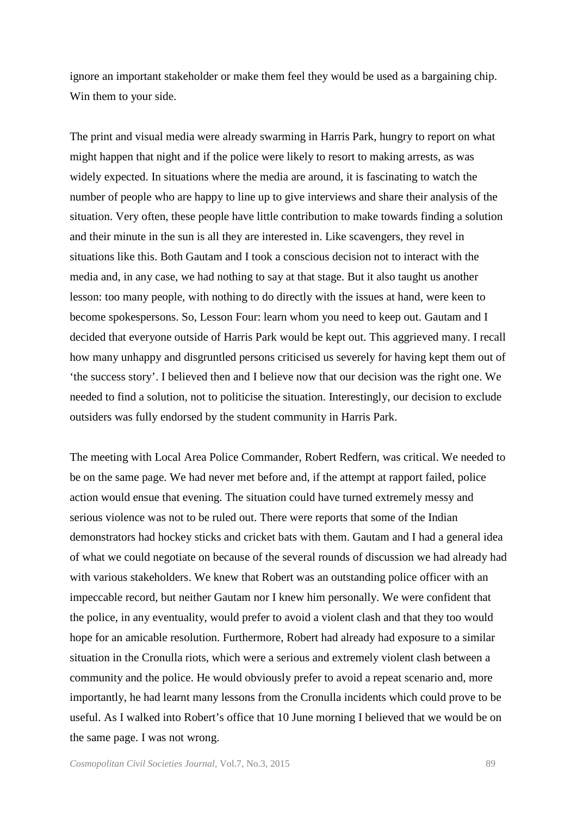ignore an important stakeholder or make them feel they would be used as a bargaining chip. Win them to your side.

The print and visual media were already swarming in Harris Park, hungry to report on what might happen that night and if the police were likely to resort to making arrests, as was widely expected. In situations where the media are around, it is fascinating to watch the number of people who are happy to line up to give interviews and share their analysis of the situation. Very often, these people have little contribution to make towards finding a solution and their minute in the sun is all they are interested in. Like scavengers, they revel in situations like this. Both Gautam and I took a conscious decision not to interact with the media and, in any case, we had nothing to say at that stage. But it also taught us another lesson: too many people, with nothing to do directly with the issues at hand, were keen to become spokespersons. So, Lesson Four: learn whom you need to keep out. Gautam and I decided that everyone outside of Harris Park would be kept out. This aggrieved many. I recall how many unhappy and disgruntled persons criticised us severely for having kept them out of 'the success story'. I believed then and I believe now that our decision was the right one. We needed to find a solution, not to politicise the situation. Interestingly, our decision to exclude outsiders was fully endorsed by the student community in Harris Park.

The meeting with Local Area Police Commander, Robert Redfern, was critical. We needed to be on the same page. We had never met before and, if the attempt at rapport failed, police action would ensue that evening. The situation could have turned extremely messy and serious violence was not to be ruled out. There were reports that some of the Indian demonstrators had hockey sticks and cricket bats with them. Gautam and I had a general idea of what we could negotiate on because of the several rounds of discussion we had already had with various stakeholders. We knew that Robert was an outstanding police officer with an impeccable record, but neither Gautam nor I knew him personally. We were confident that the police, in any eventuality, would prefer to avoid a violent clash and that they too would hope for an amicable resolution. Furthermore, Robert had already had exposure to a similar situation in the Cronulla riots, which were a serious and extremely violent clash between a community and the police. He would obviously prefer to avoid a repeat scenario and, more importantly, he had learnt many lessons from the Cronulla incidents which could prove to be useful. As I walked into Robert's office that 10 June morning I believed that we would be on the same page. I was not wrong.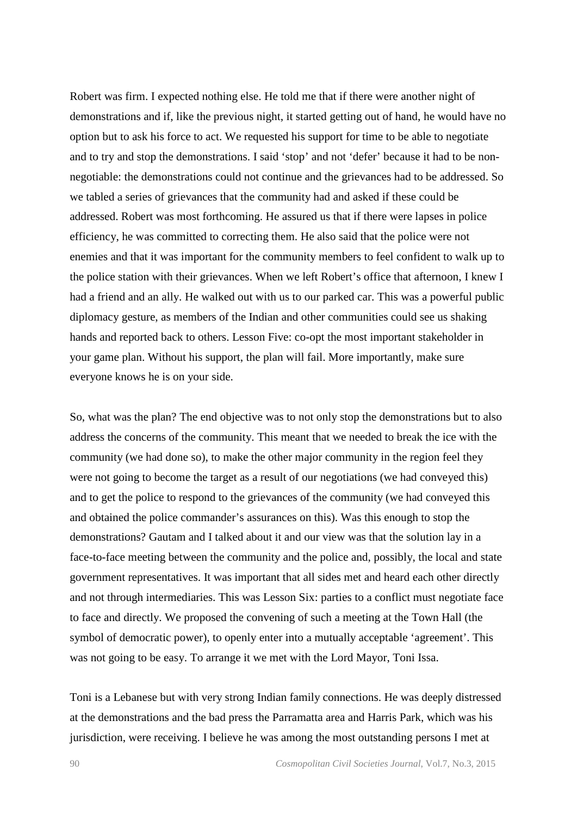Robert was firm. I expected nothing else. He told me that if there were another night of demonstrations and if, like the previous night, it started getting out of hand, he would have no option but to ask his force to act. We requested his support for time to be able to negotiate and to try and stop the demonstrations. I said 'stop' and not 'defer' because it had to be nonnegotiable: the demonstrations could not continue and the grievances had to be addressed. So we tabled a series of grievances that the community had and asked if these could be addressed. Robert was most forthcoming. He assured us that if there were lapses in police efficiency, he was committed to correcting them. He also said that the police were not enemies and that it was important for the community members to feel confident to walk up to the police station with their grievances. When we left Robert's office that afternoon, I knew I had a friend and an ally. He walked out with us to our parked car. This was a powerful public diplomacy gesture, as members of the Indian and other communities could see us shaking hands and reported back to others. Lesson Five: co-opt the most important stakeholder in your game plan. Without his support, the plan will fail. More importantly, make sure everyone knows he is on your side.

So, what was the plan? The end objective was to not only stop the demonstrations but to also address the concerns of the community. This meant that we needed to break the ice with the community (we had done so), to make the other major community in the region feel they were not going to become the target as a result of our negotiations (we had conveyed this) and to get the police to respond to the grievances of the community (we had conveyed this and obtained the police commander's assurances on this). Was this enough to stop the demonstrations? Gautam and I talked about it and our view was that the solution lay in a face-to-face meeting between the community and the police and, possibly, the local and state government representatives. It was important that all sides met and heard each other directly and not through intermediaries. This was Lesson Six: parties to a conflict must negotiate face to face and directly. We proposed the convening of such a meeting at the Town Hall (the symbol of democratic power), to openly enter into a mutually acceptable 'agreement'. This was not going to be easy. To arrange it we met with the Lord Mayor, Toni Issa.

Toni is a Lebanese but with very strong Indian family connections. He was deeply distressed at the demonstrations and the bad press the Parramatta area and Harris Park, which was his jurisdiction, were receiving. I believe he was among the most outstanding persons I met at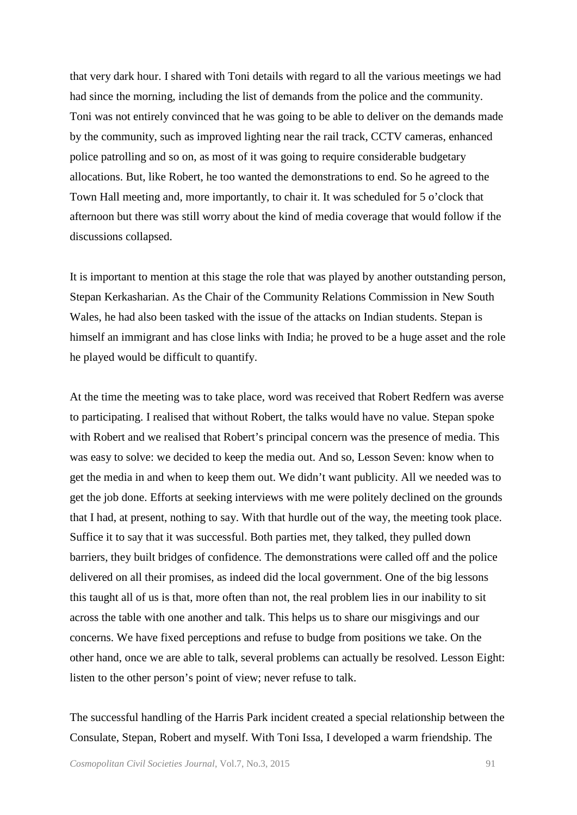that very dark hour. I shared with Toni details with regard to all the various meetings we had had since the morning, including the list of demands from the police and the community. Toni was not entirely convinced that he was going to be able to deliver on the demands made by the community, such as improved lighting near the rail track, CCTV cameras, enhanced police patrolling and so on, as most of it was going to require considerable budgetary allocations. But, like Robert, he too wanted the demonstrations to end. So he agreed to the Town Hall meeting and, more importantly, to chair it. It was scheduled for 5 o'clock that afternoon but there was still worry about the kind of media coverage that would follow if the discussions collapsed.

It is important to mention at this stage the role that was played by another outstanding person, Stepan Kerkasharian. As the Chair of the Community Relations Commission in New South Wales, he had also been tasked with the issue of the attacks on Indian students. Stepan is himself an immigrant and has close links with India; he proved to be a huge asset and the role he played would be difficult to quantify.

At the time the meeting was to take place, word was received that Robert Redfern was averse to participating. I realised that without Robert, the talks would have no value. Stepan spoke with Robert and we realised that Robert's principal concern was the presence of media. This was easy to solve: we decided to keep the media out. And so, Lesson Seven: know when to get the media in and when to keep them out. We didn't want publicity. All we needed was to get the job done. Efforts at seeking interviews with me were politely declined on the grounds that I had, at present, nothing to say. With that hurdle out of the way, the meeting took place. Suffice it to say that it was successful. Both parties met, they talked, they pulled down barriers, they built bridges of confidence. The demonstrations were called off and the police delivered on all their promises, as indeed did the local government. One of the big lessons this taught all of us is that, more often than not, the real problem lies in our inability to sit across the table with one another and talk. This helps us to share our misgivings and our concerns. We have fixed perceptions and refuse to budge from positions we take. On the other hand, once we are able to talk, several problems can actually be resolved. Lesson Eight: listen to the other person's point of view; never refuse to talk.

The successful handling of the Harris Park incident created a special relationship between the Consulate, Stepan, Robert and myself. With Toni Issa, I developed a warm friendship. The